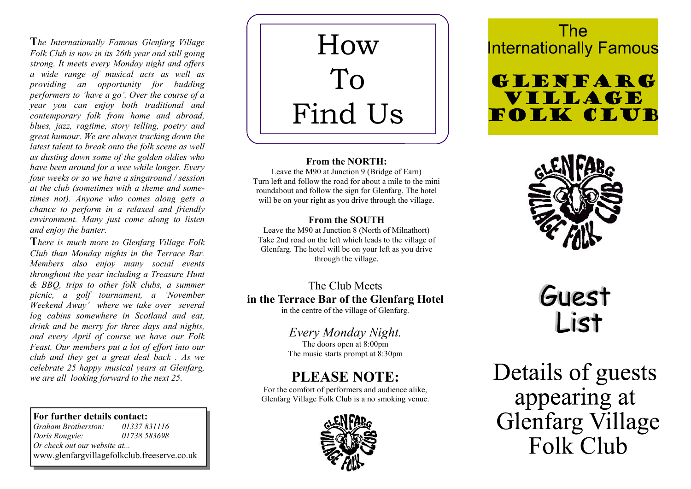The Internationally Famous Glenfarg Village Folk Club is now in its 26th year and still going strong. It meets every Monday night and offers a wide range of musical acts as well as providing an opportunity for budding performers to 'have a go'. Over the course of a year you can enjoy both traditional and contemporary folk from home and abroad, blues, jazz, ragtime, story telling, poetry and great humour. We are always tracking down the latest talent to break onto the folk scene as well as dusting down some of the golden oldies who have been around for a wee while longer. Every four weeks or so we have a singaround / session at the club (sometimes with a theme and sometimes not). Anyone who comes along gets a chance to perform in a relaxed and friendly environment. Many just come along to listen and enjoy the banter.

There is much more to Glenfarg Village Folk Club than Monday nights in the Terrace Bar. Members also enjoy many social events throughout the year including a Treasure Hunt & BBQ, trips to other folk clubs, a summer picnic, a golf tournament, a 'November Weekend Away' where we take over several log cabins somewhere in Scotland and eat, drink and be merry for three days and nights, and every April of course we have our Folk Feast. Our members put a lot of effort into our club and they get a great deal back . As we celebrate 25 happy musical years at Glenfarg, we are all looking forward to the next 25.

#### For further details contact:

Graham Brotherston: 01337 831116 Doris Rougvie: 01738 583698 Or check out our website at... www.glenfargvillagefolkclub.freeserve.co.uk

How To Find Us

#### From the NORTH:

Leave the M90 at Junction 9 (Bridge of Earn) Turn left and follow the road for about a mile to the mini roundabout and follow the sign for Glenfarg. The hotel will be on your right as you drive through the village.

### From the SOUTH

Leave the M90 at Junction 8 (North of Milnathort) Take 2nd road on the left which leads to the village of Glenfarg. The hotel will be on your left as you drive through the village.

## The Club Meets in the Terrace Bar of the Glenfarg Hotel

in the centre of the village of Glenfarg.

## Every Monday Night.

The doors open at 8:00pm The music starts prompt at 8:30pm

## PLEASE NOTE:

For the comfort of performers and audience alike, Glenfarg Village Folk Club is a no smoking venue.



# **The Internationally Famous**

# **GLENFARG VILLAGE** FOLK CLUB



# Guest List

Details of guests appearing at **Glenfarg Village** Folk Club